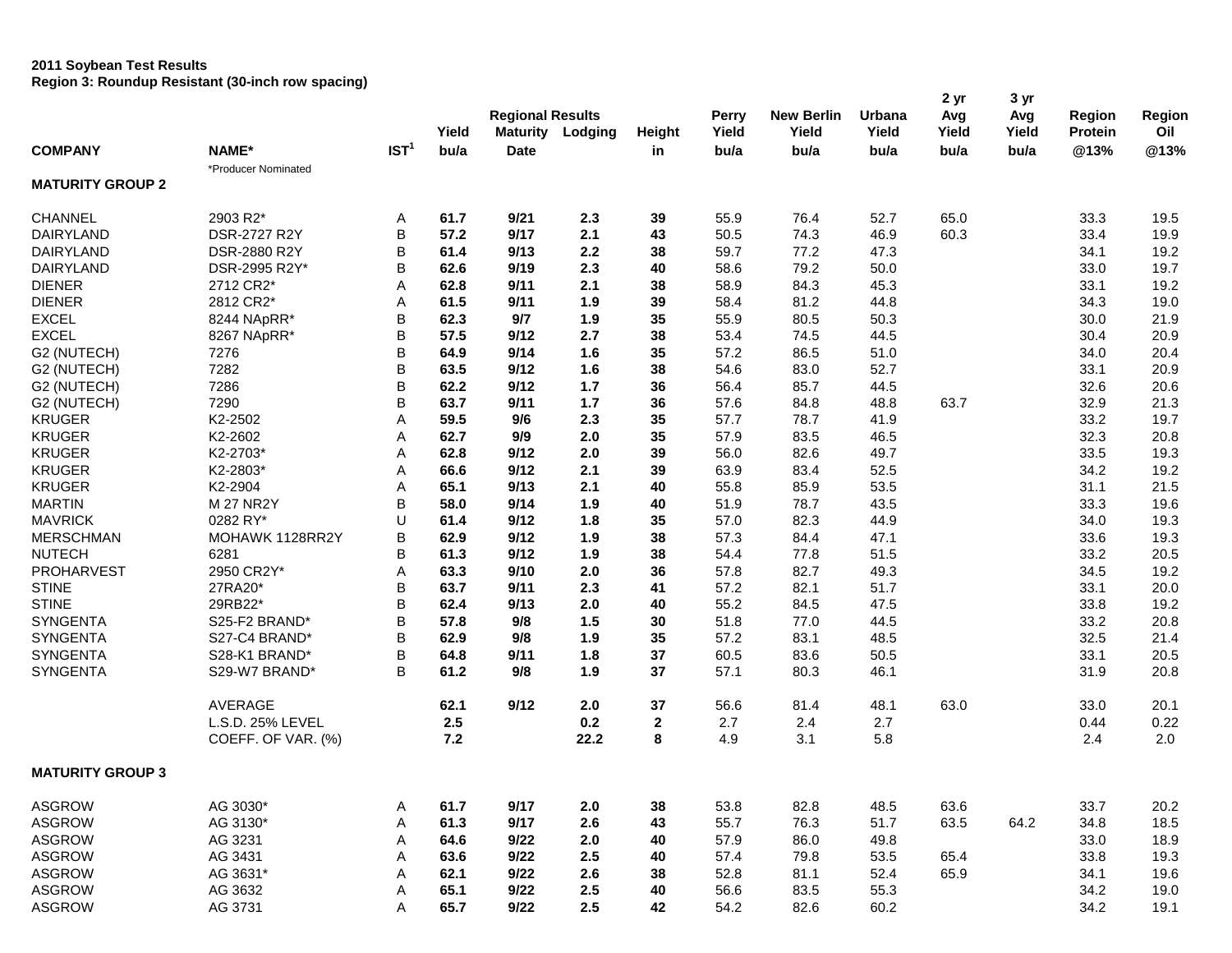#### **2011 Soybean Test Results**

**Region 3: Roundup Resistant (30-inch row spacing)**

|                         |                     |                  | Yield | <b>Regional Results</b> | Maturity Lodging |              | Perry<br>Yield | <b>New Berlin</b><br>Yield | Urbana<br>Yield | 2 yr<br>Avg<br>Yield | 3 yr<br>Avg<br>Yield | Region<br><b>Protein</b> | Region<br>Oil |
|-------------------------|---------------------|------------------|-------|-------------------------|------------------|--------------|----------------|----------------------------|-----------------|----------------------|----------------------|--------------------------|---------------|
| <b>COMPANY</b>          | NAME*               | IST <sup>1</sup> | bu/a  | <b>Date</b>             |                  | Height<br>in | bu/a           | bu/a                       | bu/a            | bu/a                 | bu/a                 | @13%                     | @13%          |
|                         | *Producer Nominated |                  |       |                         |                  |              |                |                            |                 |                      |                      |                          |               |
| <b>MATURITY GROUP 2</b> |                     |                  |       |                         |                  |              |                |                            |                 |                      |                      |                          |               |
| <b>CHANNEL</b>          | 2903 R2*            | Α                | 61.7  | 9/21                    | 2.3              | 39           | 55.9           | 76.4                       | 52.7            | 65.0                 |                      | 33.3                     | 19.5          |
| DAIRYLAND               | DSR-2727 R2Y        | B                | 57.2  | 9/17                    | 2.1              | 43           | 50.5           | 74.3                       | 46.9            | 60.3                 |                      | 33.4                     | 19.9          |
| <b>DAIRYLAND</b>        | DSR-2880 R2Y        | B                | 61.4  | 9/13                    | 2.2              | 38           | 59.7           | 77.2                       | 47.3            |                      |                      | 34.1                     | 19.2          |
| <b>DAIRYLAND</b>        | DSR-2995 R2Y*       | B                | 62.6  | 9/19                    | 2.3              | 40           | 58.6           | 79.2                       | 50.0            |                      |                      | 33.0                     | 19.7          |
| <b>DIENER</b>           | 2712 CR2*           | A                | 62.8  | 9/11                    | 2.1              | 38           | 58.9           | 84.3                       | 45.3            |                      |                      | 33.1                     | 19.2          |
| <b>DIENER</b>           | 2812 CR2*           | Α                | 61.5  | 9/11                    | 1.9              | 39           | 58.4           | 81.2                       | 44.8            |                      |                      | 34.3                     | 19.0          |
| <b>EXCEL</b>            | 8244 NApRR*         | B                | 62.3  | 9/7                     | 1.9              | 35           | 55.9           | 80.5                       | 50.3            |                      |                      | 30.0                     | 21.9          |
| <b>EXCEL</b>            | 8267 NApRR*         | B                | 57.5  | 9/12                    | 2.7              | 38           | 53.4           | 74.5                       | 44.5            |                      |                      | 30.4                     | 20.9          |
| G2 (NUTECH)             | 7276                | B                | 64.9  | 9/14                    | 1.6              | 35           | 57.2           | 86.5                       | 51.0            |                      |                      | 34.0                     | 20.4          |
| G2 (NUTECH)             | 7282                | B                | 63.5  | 9/12                    | 1.6              | 38           | 54.6           | 83.0                       | 52.7            |                      |                      | 33.1                     | 20.9          |
| G2 (NUTECH)             | 7286                | B                | 62.2  | 9/12                    | 1.7              | 36           | 56.4           | 85.7                       | 44.5            |                      |                      | 32.6                     | 20.6          |
| G2 (NUTECH)             | 7290                | B                | 63.7  | 9/11                    | $1.7$            | 36           | 57.6           | 84.8                       | 48.8            | 63.7                 |                      | 32.9                     | 21.3          |
| <b>KRUGER</b>           | K2-2502             | Α                | 59.5  | 9/6                     | 2.3              | 35           | 57.7           | 78.7                       | 41.9            |                      |                      | 33.2                     | 19.7          |
| <b>KRUGER</b>           | K2-2602             | Α                | 62.7  | 9/9                     | 2.0              | 35           | 57.9           | 83.5                       | 46.5            |                      |                      | 32.3                     | 20.8          |
| <b>KRUGER</b>           | K2-2703*            | Α                | 62.8  | 9/12                    | 2.0              | 39           | 56.0           | 82.6                       | 49.7            |                      |                      | 33.5                     | 19.3          |
| <b>KRUGER</b>           | K2-2803*            | Α                | 66.6  | 9/12                    | 2.1              | 39           | 63.9           | 83.4                       | 52.5            |                      |                      | 34.2                     | 19.2          |
| <b>KRUGER</b>           | K2-2904             | Α                | 65.1  | 9/13                    | 2.1              | 40           | 55.8           | 85.9                       | 53.5            |                      |                      | 31.1                     | 21.5          |
| <b>MARTIN</b>           | <b>M27 NR2Y</b>     | B                | 58.0  | 9/14                    | 1.9              | 40           | 51.9           | 78.7                       | 43.5            |                      |                      | 33.3                     | 19.6          |
| <b>MAVRICK</b>          | 0282 RY*            | U                | 61.4  | 9/12                    | 1.8              | 35           | 57.0           | 82.3                       | 44.9            |                      |                      | 34.0                     | 19.3          |
| <b>MERSCHMAN</b>        | MOHAWK 1128RR2Y     | B                | 62.9  | 9/12                    | 1.9              | 38           | 57.3           | 84.4                       | 47.1            |                      |                      | 33.6                     | 19.3          |
| <b>NUTECH</b>           | 6281                | B                | 61.3  | 9/12                    | 1.9              | 38           | 54.4           | 77.8                       | 51.5            |                      |                      | 33.2                     | 20.5          |
| PROHARVEST              | 2950 CR2Y*          | Α                | 63.3  | 9/10                    | 2.0              | 36           | 57.8           | 82.7                       | 49.3            |                      |                      | 34.5                     | 19.2          |
| <b>STINE</b>            | 27RA20*             | B                | 63.7  | 9/11                    | 2.3              | 41           | 57.2           | 82.1                       | 51.7            |                      |                      | 33.1                     | 20.0          |
| <b>STINE</b>            | 29RB22*             | B                | 62.4  | 9/13                    | 2.0              | 40           | 55.2           | 84.5                       | 47.5            |                      |                      | 33.8                     | 19.2          |
| SYNGENTA                | S25-F2 BRAND*       | B                | 57.8  | 9/8                     | $1.5$            | 30           | 51.8           | 77.0                       | 44.5            |                      |                      | 33.2                     | 20.8          |
| <b>SYNGENTA</b>         | S27-C4 BRAND*       | B                | 62.9  | 9/8                     | 1.9              | 35           | 57.2           | 83.1                       | 48.5            |                      |                      | 32.5                     | 21.4          |
| <b>SYNGENTA</b>         | S28-K1 BRAND*       | B                | 64.8  | 9/11                    | 1.8              | 37           | 60.5           | 83.6                       | 50.5            |                      |                      | 33.1                     | 20.5          |
| <b>SYNGENTA</b>         | S29-W7 BRAND*       | B                | 61.2  | 9/8                     | 1.9              | 37           | 57.1           | 80.3                       | 46.1            |                      |                      | 31.9                     | 20.8          |
|                         |                     |                  |       |                         |                  |              |                |                            |                 |                      |                      |                          |               |
|                         | <b>AVERAGE</b>      |                  | 62.1  | 9/12                    | 2.0              | 37           | 56.6           | 81.4                       | 48.1            | 63.0                 |                      | 33.0                     | 20.1          |
|                         | L.S.D. 25% LEVEL    |                  | 2.5   |                         | 0.2              | 2            | 2.7            | 2.4                        | 2.7             |                      |                      | 0.44                     | 0.22          |
|                         | COEFF. OF VAR. (%)  |                  | $7.2$ |                         | 22.2             | 8            | 4.9            | 3.1                        | 5.8             |                      |                      | 2.4                      | 2.0           |
| <b>MATURITY GROUP 3</b> |                     |                  |       |                         |                  |              |                |                            |                 |                      |                      |                          |               |
| <b>ASGROW</b>           | AG 3030*            | A                | 61.7  | 9/17                    | 2.0              | 38           | 53.8           | 82.8                       | 48.5            | 63.6                 |                      | 33.7                     | 20.2          |
| <b>ASGROW</b>           | AG 3130*            | Α                | 61.3  | 9/17                    | 2.6              | 43           | 55.7           | 76.3                       | 51.7            | 63.5                 | 64.2                 | 34.8                     | 18.5          |
| <b>ASGROW</b>           | AG 3231             | Α                | 64.6  | 9/22                    | 2.0              | 40           | 57.9           | 86.0                       | 49.8            |                      |                      | 33.0                     | 18.9          |
| <b>ASGROW</b>           | AG 3431             | Α                | 63.6  | 9/22                    | 2.5              | 40           | 57.4           | 79.8                       | 53.5            | 65.4                 |                      | 33.8                     | 19.3          |
| <b>ASGROW</b>           | AG 3631*            | Α                | 62.1  | 9/22                    | 2.6              | 38           | 52.8           | 81.1                       | 52.4            | 65.9                 |                      | 34.1                     | 19.6          |
| <b>ASGROW</b>           | AG 3632             | Α                | 65.1  | 9/22                    | 2.5              | 40           | 56.6           | 83.5                       | 55.3            |                      |                      | 34.2                     | 19.0          |
| ASGROW                  | AG 3731             | Α                | 65.7  | 9/22                    | 2.5              | 42           | 54.2           | 82.6                       | 60.2            |                      |                      | 34.2                     | 19.1          |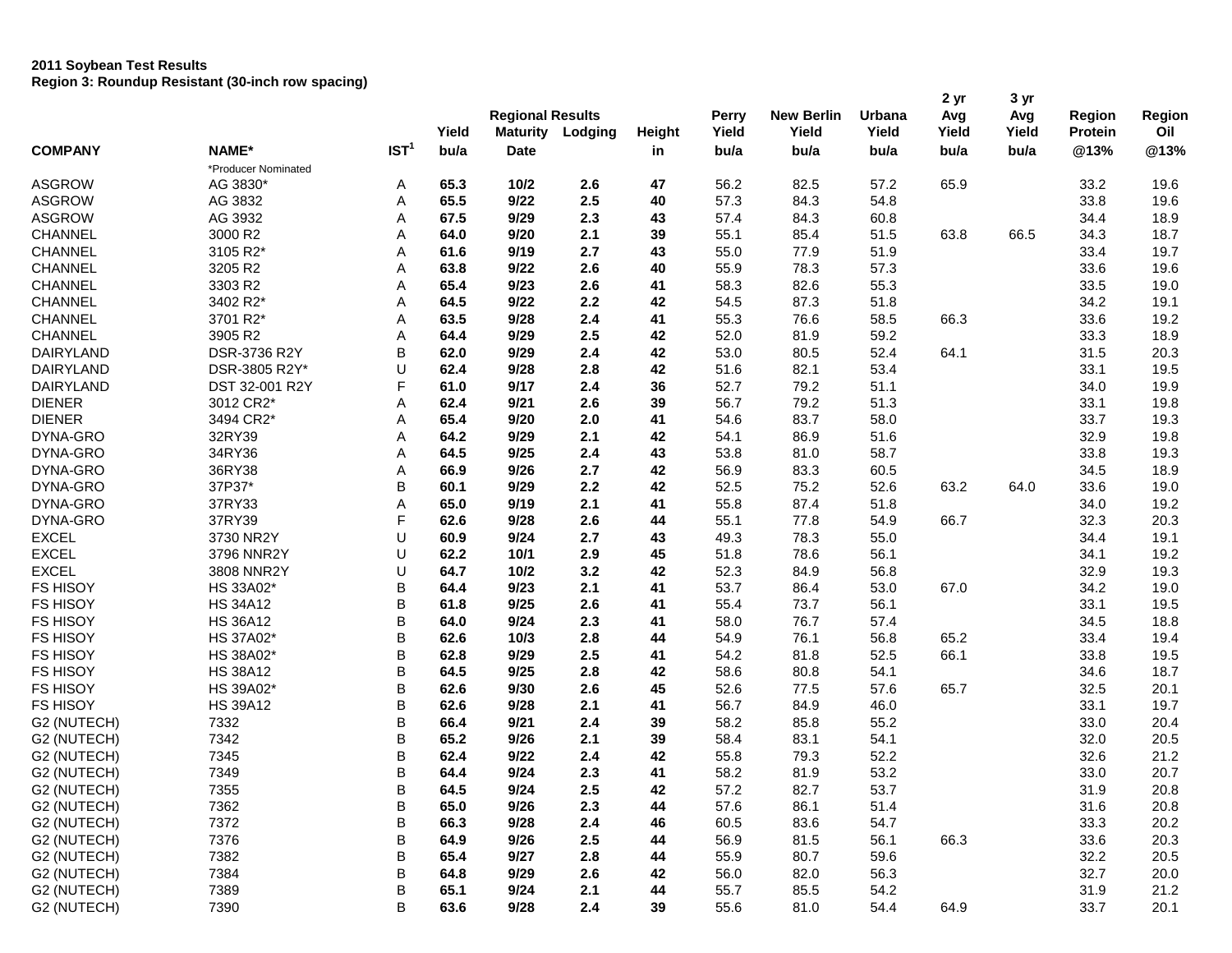# **2011 Soybean Test Results Region 3: Roundup Resistant (30-inch row spacing)**

| <b>COMPANY</b>   |                     |                  |               | <b>Regional Results</b>        |         |        | Perry | <b>New Berlin</b> | Urbana        | 2 yr<br>Avg   | 3 yr<br>Avg   | Region         | Region      |
|------------------|---------------------|------------------|---------------|--------------------------------|---------|--------|-------|-------------------|---------------|---------------|---------------|----------------|-------------|
|                  | NAME*               | IST <sup>1</sup> | Yield<br>bu/a | <b>Maturity</b><br><b>Date</b> | Lodging | Height | Yield | Yield<br>bu/a     | Yield<br>bu/a | Yield<br>bu/a | Yield<br>bu/a | <b>Protein</b> | Oil<br>@13% |
|                  | *Producer Nominated |                  |               |                                |         | in     | bu/a  |                   |               |               |               | @13%           |             |
| <b>ASGROW</b>    | AG 3830*            | A                | 65.3          | 10/2                           | 2.6     | 47     | 56.2  | 82.5              | 57.2          | 65.9          |               | 33.2           | 19.6        |
| <b>ASGROW</b>    | AG 3832             | Α                | 65.5          | 9/22                           | 2.5     | 40     | 57.3  | 84.3              | 54.8          |               |               | 33.8           | 19.6        |
| <b>ASGROW</b>    | AG 3932             | Α                | 67.5          | 9/29                           | 2.3     | 43     | 57.4  | 84.3              | 60.8          |               |               | 34.4           | 18.9        |
| <b>CHANNEL</b>   | 3000 R2             | Α                | 64.0          | 9/20                           | 2.1     | 39     | 55.1  | 85.4              | 51.5          | 63.8          | 66.5          | 34.3           | 18.7        |
| <b>CHANNEL</b>   | 3105 R2*            | Α                | 61.6          | 9/19                           | 2.7     | 43     | 55.0  | 77.9              | 51.9          |               |               | 33.4           | 19.7        |
| <b>CHANNEL</b>   | 3205 R2             | Α                | 63.8          | 9/22                           | 2.6     | 40     | 55.9  | 78.3              | 57.3          |               |               | 33.6           | 19.6        |
| <b>CHANNEL</b>   | 3303 R2             | Α                | 65.4          | 9/23                           | 2.6     | 41     | 58.3  | 82.6              | 55.3          |               |               | 33.5           | 19.0        |
| <b>CHANNEL</b>   | 3402 R2*            | Α                | 64.5          | 9/22                           | 2.2     | 42     | 54.5  | 87.3              | 51.8          |               |               | 34.2           | 19.1        |
| <b>CHANNEL</b>   | 3701 R2*            | Α                | 63.5          | 9/28                           | 2.4     | 41     | 55.3  | 76.6              | 58.5          | 66.3          |               | 33.6           | 19.2        |
| <b>CHANNEL</b>   | 3905 R2             | Α                | 64.4          | 9/29                           | 2.5     | 42     | 52.0  | 81.9              | 59.2          |               |               | 33.3           | 18.9        |
| <b>DAIRYLAND</b> | DSR-3736 R2Y        | B                | 62.0          | 9/29                           | 2.4     | 42     | 53.0  | 80.5              | 52.4          | 64.1          |               | 31.5           | 20.3        |
| DAIRYLAND        | DSR-3805 R2Y*       | U                | 62.4          | 9/28                           | 2.8     | 42     | 51.6  | 82.1              | 53.4          |               |               | 33.1           | 19.5        |
| <b>DAIRYLAND</b> | DST 32-001 R2Y      | F                | 61.0          | 9/17                           | 2.4     | 36     | 52.7  | 79.2              | 51.1          |               |               | 34.0           | 19.9        |
| <b>DIENER</b>    | 3012 CR2*           | Α                | 62.4          | 9/21                           | 2.6     | 39     | 56.7  | 79.2              | 51.3          |               |               | 33.1           | 19.8        |
| <b>DIENER</b>    | 3494 CR2*           | Α                | 65.4          | 9/20                           | 2.0     | 41     | 54.6  | 83.7              | 58.0          |               |               | 33.7           | 19.3        |
| DYNA-GRO         | 32RY39              | Α                | 64.2          | 9/29                           | 2.1     | 42     | 54.1  | 86.9              | 51.6          |               |               | 32.9           | 19.8        |
| DYNA-GRO         | 34RY36              | Α                | 64.5          | 9/25                           | 2.4     | 43     | 53.8  | 81.0              | 58.7          |               |               | 33.8           | 19.3        |
| DYNA-GRO         | 36RY38              | Α                | 66.9          | 9/26                           | 2.7     | 42     | 56.9  | 83.3              | 60.5          |               |               | 34.5           | 18.9        |
| DYNA-GRO         | 37P37*              | В                | 60.1          | 9/29                           | 2.2     | 42     | 52.5  | 75.2              | 52.6          | 63.2          | 64.0          | 33.6           | 19.0        |
| DYNA-GRO         | 37RY33              | Α                | 65.0          | 9/19                           | 2.1     | 41     | 55.8  | 87.4              | 51.8          |               |               | 34.0           | 19.2        |
| DYNA-GRO         | 37RY39              | F                | 62.6          | 9/28                           | 2.6     | 44     | 55.1  | 77.8              | 54.9          | 66.7          |               | 32.3           | 20.3        |
| <b>EXCEL</b>     | 3730 NR2Y           | U                | 60.9          | 9/24                           | 2.7     | 43     | 49.3  | 78.3              | 55.0          |               |               | 34.4           | 19.1        |
| <b>EXCEL</b>     | 3796 NNR2Y          | U                | 62.2          | 10/1                           | 2.9     | 45     | 51.8  | 78.6              | 56.1          |               |               | 34.1           | 19.2        |
| <b>EXCEL</b>     | 3808 NNR2Y          | U                | 64.7          | 10/2                           | 3.2     | 42     | 52.3  | 84.9              | 56.8          |               |               | 32.9           | 19.3        |
| <b>FS HISOY</b>  | HS 33A02*           | B                | 64.4          | 9/23                           | 2.1     | 41     | 53.7  | 86.4              | 53.0          | 67.0          |               | 34.2           | 19.0        |
| <b>FS HISOY</b>  | <b>HS 34A12</b>     | B                | 61.8          | 9/25                           | 2.6     | 41     | 55.4  | 73.7              | 56.1          |               |               | 33.1           | 19.5        |
| <b>FS HISOY</b>  | <b>HS 36A12</b>     | B                | 64.0          | 9/24                           | 2.3     | 41     | 58.0  | 76.7              | 57.4          |               |               | 34.5           | 18.8        |
| <b>FS HISOY</b>  | HS 37A02*           | B                | 62.6          | 10/3                           | 2.8     | 44     | 54.9  | 76.1              | 56.8          | 65.2          |               | 33.4           | 19.4        |
| <b>FS HISOY</b>  | HS 38A02*           | В                | 62.8          | 9/29                           | 2.5     | 41     | 54.2  | 81.8              | 52.5          | 66.1          |               | 33.8           | 19.5        |
| <b>FS HISOY</b>  | <b>HS 38A12</b>     | B                | 64.5          | 9/25                           | 2.8     | 42     | 58.6  | 80.8              | 54.1          |               |               | 34.6           | 18.7        |
| <b>FS HISOY</b>  | HS 39A02*           | B                | 62.6          | 9/30                           | 2.6     | 45     | 52.6  | 77.5              | 57.6          | 65.7          |               | 32.5           | 20.1        |
| <b>FS HISOY</b>  | <b>HS 39A12</b>     | B                | 62.6          | 9/28                           | 2.1     | 41     | 56.7  | 84.9              | 46.0          |               |               | 33.1           | 19.7        |
| G2 (NUTECH)      | 7332                | B                | 66.4          | 9/21                           | 2.4     | 39     | 58.2  | 85.8              | 55.2          |               |               | 33.0           | 20.4        |
| G2 (NUTECH)      | 7342                | B                | 65.2          | 9/26                           | 2.1     | 39     | 58.4  | 83.1              | 54.1          |               |               | 32.0           | 20.5        |
| G2 (NUTECH)      | 7345                | B                | 62.4          | 9/22                           | 2.4     | 42     | 55.8  | 79.3              | 52.2          |               |               | 32.6           | 21.2        |
| G2 (NUTECH)      | 7349                | B                | 64.4          | 9/24                           | 2.3     | 41     | 58.2  | 81.9              | 53.2          |               |               | 33.0           | 20.7        |
| G2 (NUTECH)      | 7355                | В                | 64.5          | 9/24                           | 2.5     | 42     | 57.2  | 82.7              | 53.7          |               |               | 31.9           | 20.8        |
| G2 (NUTECH)      | 7362                | B                | 65.0          | 9/26                           | 2.3     | 44     | 57.6  | 86.1              | 51.4          |               |               | 31.6           | 20.8        |
| G2 (NUTECH)      | 7372                | В                | 66.3          | 9/28                           | $2.4\,$ | 46     | 60.5  | 83.6              | 54.7          |               |               | 33.3           | 20.2        |
| G2 (NUTECH)      | 7376                | В                | 64.9          | 9/26                           | 2.5     | 44     | 56.9  | 81.5              | 56.1          | 66.3          |               | 33.6           | 20.3        |
| G2 (NUTECH)      | 7382                | B                | 65.4          | 9/27                           | 2.8     | 44     | 55.9  | 80.7              | 59.6          |               |               | 32.2           | 20.5        |
| G2 (NUTECH)      | 7384                | B                | 64.8          | 9/29                           | 2.6     | 42     | 56.0  | 82.0              | 56.3          |               |               | 32.7           | 20.0        |
| G2 (NUTECH)      | 7389                | B                | 65.1          | 9/24                           | 2.1     | 44     | 55.7  | 85.5              | 54.2          |               |               | 31.9           | 21.2        |
| G2 (NUTECH)      | 7390                | B                | 63.6          | 9/28                           | $2.4\,$ | 39     | 55.6  | 81.0              | 54.4          | 64.9          |               | 33.7           | 20.1        |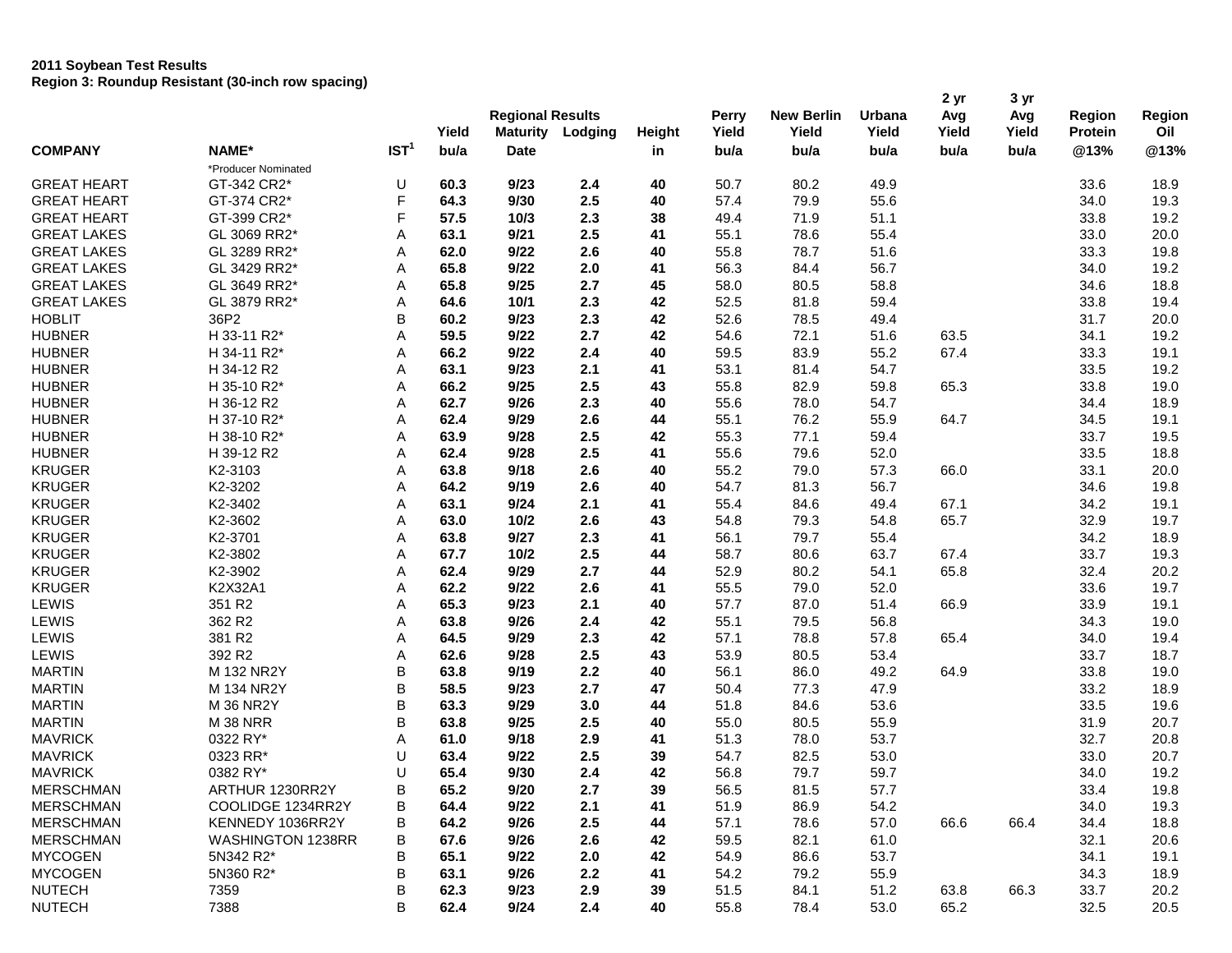# **2011 Soybean Test Results Region 3: Roundup Resistant (30-inch row spacing)**

| Yield<br>Yield<br>Oil<br>Yield<br><b>Maturity</b><br>Yield<br>Yield<br>Yield<br><b>Protein</b><br>Lodging<br><b>Height</b><br>IST <sup>1</sup><br><b>COMPANY</b><br>NAME*<br>bu/a<br>@13%<br><b>Date</b><br>bu/a<br>bu/a<br>bu/a<br>bu/a<br>bu/a<br>in<br>*Producer Nominated<br>GT-342 CR2*<br>9/23<br>40<br>50.7<br>80.2<br>49.9<br><b>GREAT HEART</b><br>U<br>60.3<br>2.4<br>33.6<br>18.9<br>F<br>GT-374 CR2*<br>64.3<br>9/30<br>2.5<br>40<br>57.4<br>79.9<br>55.6<br>19.3<br><b>GREAT HEART</b><br>34.0<br>E.<br><b>GREAT HEART</b><br>GT-399 CR2*<br>57.5<br>2.3<br>38<br>49.4<br>51.1<br>33.8<br>19.2<br>10/3<br>71.9<br>55.4<br><b>GREAT LAKES</b><br>GL 3069 RR2*<br>2.5<br>55.1<br>78.6<br>20.0<br>Α<br>63.1<br>9/21<br>41<br>33.0<br>9/22<br>2.6<br>55.8<br>51.6<br>19.8<br><b>GREAT LAKES</b><br>GL 3289 RR2*<br>Α<br>62.0<br>40<br>78.7<br>33.3<br>56.7<br><b>GREAT LAKES</b><br>GL 3429 RR2*<br>65.8<br>9/22<br>2.0<br>41<br>56.3<br>84.4<br>19.2<br>Α<br>34.0<br>58.8<br><b>GREAT LAKES</b><br>GL 3649 RR2*<br>Α<br>65.8<br>9/25<br>2.7<br>45<br>58.0<br>80.5<br>18.8<br>34.6<br><b>GREAT LAKES</b><br>GL 3879 RR2*<br>Α<br>2.3<br>42<br>52.5<br>81.8<br>59.4<br>33.8<br>19.4<br>64.6<br>10/1<br>B<br><b>HOBLIT</b><br>36P2<br>9/23<br>2.3<br>42<br>52.6<br>78.5<br>49.4<br>20.0<br>60.2<br>31.7<br><b>HUBNER</b><br>H 33-11 R2*<br>Α<br>59.5<br>9/22<br>2.7<br>42<br>54.6<br>72.1<br>51.6<br>63.5<br>19.2<br>34.1<br><b>HUBNER</b><br>Α<br>66.2<br>9/22<br>2.4<br>40<br>59.5<br>83.9<br>55.2<br>67.4<br>33.3<br>19.1<br>H 34-11 R2*<br><b>HUBNER</b><br>H 34-12 R2<br>Α<br>63.1<br>9/23<br>2.1<br>41<br>53.1<br>81.4<br>54.7<br>33.5<br>19.2<br>2.5<br><b>HUBNER</b><br>H 35-10 R2*<br>A<br>66.2<br>9/25<br>43<br>55.8<br>82.9<br>59.8<br>65.3<br>33.8<br>19.0<br><b>HUBNER</b><br>Α<br>2.3<br>55.6<br>78.0<br>54.7<br>18.9<br>H 36-12 R2<br>62.7<br>9/26<br>40<br>34.4<br><b>HUBNER</b><br>9/29<br>2.6<br>55.1<br>55.9<br>19.1<br>H 37-10 R2*<br>Α<br>62.4<br>44<br>76.2<br>64.7<br>34.5<br>2.5<br><b>HUBNER</b><br>63.9<br>9/28<br>42<br>55.3<br>77.1<br>59.4<br>19.5<br>H 38-10 R2*<br>Α<br>33.7<br>2.5<br><b>HUBNER</b><br>H 39-12 R2<br>Α<br>62.4<br>9/28<br>41<br>55.6<br>79.6<br>52.0<br>33.5<br>18.8<br><b>KRUGER</b><br>57.3<br>K2-3103<br>A<br>63.8<br>9/18<br>2.6<br>40<br>55.2<br>79.0<br>66.0<br>20.0<br>33.1<br><b>KRUGER</b><br>K2-3202<br>Α<br>64.2<br>9/19<br>2.6<br>54.7<br>56.7<br>19.8<br>40<br>81.3<br>34.6<br><b>KRUGER</b><br>K2-3402<br>9/24<br>2.1<br>55.4<br>49.4<br>67.1<br>19.1<br>Α<br>63.1<br>41<br>84.6<br>34.2<br><b>KRUGER</b><br>K2-3602<br>Α<br>63.0<br>10/2<br>2.6<br>43<br>54.8<br>79.3<br>54.8<br>65.7<br>32.9<br>19.7<br>K2-3701<br><b>KRUGER</b><br>Α<br>63.8<br>9/27<br>2.3<br>41<br>56.1<br>79.7<br>55.4<br>18.9<br>34.2<br><b>KRUGER</b><br>2.5<br>K2-3802<br>Α<br>67.7<br>10/2<br>44<br>58.7<br>80.6<br>63.7<br>67.4<br>33.7<br>19.3<br><b>KRUGER</b><br>K2-3902<br>Α<br>9/29<br>2.7<br>52.9<br>80.2<br>54.1<br>65.8<br>20.2<br>62.4<br>44<br>32.4<br><b>KRUGER</b><br>K2X32A1<br>9/22<br>2.6<br>55.5<br>52.0<br>19.7<br>Α<br>62.2<br>41<br>79.0<br>33.6<br>LEWIS<br>351 R2<br>Α<br>65.3<br>9/23<br>2.1<br>57.7<br>87.0<br>51.4<br>66.9<br>19.1<br>40<br>33.9<br>362 R2<br>LEWIS<br>Α<br>63.8<br>9/26<br>2.4<br>42<br>55.1<br>79.5<br>56.8<br>19.0<br>34.3<br>381 R2<br>57.1<br>LEWIS<br>Α<br>64.5<br>9/29<br>2.3<br>42<br>78.8<br>57.8<br>19.4<br>65.4<br>34.0<br>392 R2<br>LEWIS<br>Α<br>9/28<br>2.5<br>43<br>53.9<br>80.5<br>53.4<br>18.7<br>62.6<br>33.7<br>B<br><b>MARTIN</b><br>M 132 NR2Y<br>9/19<br>2.2<br>56.1<br>86.0<br>49.2<br>64.9<br>33.8<br>19.0<br>63.8<br>40<br>B<br><b>MARTIN</b><br>M 134 NR2Y<br>58.5<br>9/23<br>2.7<br>47<br>50.4<br>77.3<br>47.9<br>33.2<br>18.9<br>B<br><b>MARTIN</b><br>M 36 NR2Y<br>63.3<br>9/29<br>3.0<br>44<br>51.8<br>84.6<br>53.6<br>19.6<br>33.5<br>B<br><b>MARTIN</b><br><b>M 38 NRR</b><br>9/25<br>2.5<br>55.0<br>80.5<br>55.9<br>20.7<br>63.8<br>40<br>31.9<br><b>MAVRICK</b><br>0322 RY*<br>53.7<br>20.8<br>Α<br>61.0<br>9/18<br>2.9<br>41<br>51.3<br>78.0<br>32.7<br><b>MAVRICK</b><br>0323 RR*<br>9/22<br>2.5<br>54.7<br>82.5<br>53.0<br>20.7<br>U<br>63.4<br>39<br>33.0<br><b>MAVRICK</b><br>0382 RY*<br>65.4<br>9/30<br>2.4<br>42<br>56.8<br>79.7<br>59.7<br>19.2<br>U<br>34.0<br>57.7<br><b>MERSCHMAN</b><br>ARTHUR 1230RR2Y<br>B<br>65.2<br>9/20<br>$2.7\,$<br>39<br>56.5<br>81.5<br>33.4<br>19.8<br>COOLIDGE 1234RR2Y<br><b>MERSCHMAN</b><br>в<br>64.4<br>9/22<br>2.1<br>41<br>51.9<br>86.9<br>54.2<br>34.0<br>19.3<br><b>MERSCHMAN</b><br>2.5<br>57.1<br>57.0<br>KENNEDY 1036RR2Y<br>В<br>64.2<br>9/26<br>44<br>78.6<br>66.6<br>66.4<br>34.4<br>18.8<br>2.6<br><b>MERSCHMAN</b><br><b>WASHINGTON 1238RR</b><br>В<br>67.6<br>9/26<br>42<br>59.5<br>82.1<br>61.0<br>32.1<br>20.6<br><b>MYCOGEN</b><br>5N342 R2*<br>B<br>2.0<br>54.9<br>86.6<br>53.7<br>65.1<br>9/22<br>42<br>34.1<br>19.1<br>B<br><b>MYCOGEN</b><br>5N360 R2*<br>9/26<br>2.2<br>41<br>54.2<br>79.2<br>55.9<br>63.1<br>34.3<br>18.9<br><b>NUTECH</b><br>В<br>9/23<br>2.9<br>51.5<br>66.3<br>7359<br>62.3<br>39<br>84.1<br>51.2<br>63.8<br>33.7<br>20.2 |               |      |   |      |      | <b>Regional Results</b> |    |      | <b>New Berlin</b> | Urbana | 2 yr<br>Avg | 3 yr<br>Avg | <b>Region</b> | Region |
|------------------------------------------------------------------------------------------------------------------------------------------------------------------------------------------------------------------------------------------------------------------------------------------------------------------------------------------------------------------------------------------------------------------------------------------------------------------------------------------------------------------------------------------------------------------------------------------------------------------------------------------------------------------------------------------------------------------------------------------------------------------------------------------------------------------------------------------------------------------------------------------------------------------------------------------------------------------------------------------------------------------------------------------------------------------------------------------------------------------------------------------------------------------------------------------------------------------------------------------------------------------------------------------------------------------------------------------------------------------------------------------------------------------------------------------------------------------------------------------------------------------------------------------------------------------------------------------------------------------------------------------------------------------------------------------------------------------------------------------------------------------------------------------------------------------------------------------------------------------------------------------------------------------------------------------------------------------------------------------------------------------------------------------------------------------------------------------------------------------------------------------------------------------------------------------------------------------------------------------------------------------------------------------------------------------------------------------------------------------------------------------------------------------------------------------------------------------------------------------------------------------------------------------------------------------------------------------------------------------------------------------------------------------------------------------------------------------------------------------------------------------------------------------------------------------------------------------------------------------------------------------------------------------------------------------------------------------------------------------------------------------------------------------------------------------------------------------------------------------------------------------------------------------------------------------------------------------------------------------------------------------------------------------------------------------------------------------------------------------------------------------------------------------------------------------------------------------------------------------------------------------------------------------------------------------------------------------------------------------------------------------------------------------------------------------------------------------------------------------------------------------------------------------------------------------------------------------------------------------------------------------------------------------------------------------------------------------------------------------------------------------------------------------------------------------------------------------------------------------------------------------------------------------------------------------------------------------------------------------------------------------------------------------------------------------------------------------------------------------------------------------------------------------------------------------------------------------------------------------------------------------------------------------------------------------------------------------------------------------------------------------------------------------------------------------------------------------------------------------------------------------------------------------------------------------------------------------------------------------------------------------------------------------------------------------------------------------------------------------------------------------------------------------------------------------------------------------------------------------------------------------|---------------|------|---|------|------|-------------------------|----|------|-------------------|--------|-------------|-------------|---------------|--------|
|                                                                                                                                                                                                                                                                                                                                                                                                                                                                                                                                                                                                                                                                                                                                                                                                                                                                                                                                                                                                                                                                                                                                                                                                                                                                                                                                                                                                                                                                                                                                                                                                                                                                                                                                                                                                                                                                                                                                                                                                                                                                                                                                                                                                                                                                                                                                                                                                                                                                                                                                                                                                                                                                                                                                                                                                                                                                                                                                                                                                                                                                                                                                                                                                                                                                                                                                                                                                                                                                                                                                                                                                                                                                                                                                                                                                                                                                                                                                                                                                                                                                                                                                                                                                                                                                                                                                                                                                                                                                                                                                                                                                                                                                                                                                                                                                                                                                                                                                                                                                                                                                                                                                          |               |      |   |      |      |                         |    |      |                   |        |             |             |               |        |
|                                                                                                                                                                                                                                                                                                                                                                                                                                                                                                                                                                                                                                                                                                                                                                                                                                                                                                                                                                                                                                                                                                                                                                                                                                                                                                                                                                                                                                                                                                                                                                                                                                                                                                                                                                                                                                                                                                                                                                                                                                                                                                                                                                                                                                                                                                                                                                                                                                                                                                                                                                                                                                                                                                                                                                                                                                                                                                                                                                                                                                                                                                                                                                                                                                                                                                                                                                                                                                                                                                                                                                                                                                                                                                                                                                                                                                                                                                                                                                                                                                                                                                                                                                                                                                                                                                                                                                                                                                                                                                                                                                                                                                                                                                                                                                                                                                                                                                                                                                                                                                                                                                                                          |               |      |   |      |      |                         |    |      |                   |        |             |             |               | @13%   |
|                                                                                                                                                                                                                                                                                                                                                                                                                                                                                                                                                                                                                                                                                                                                                                                                                                                                                                                                                                                                                                                                                                                                                                                                                                                                                                                                                                                                                                                                                                                                                                                                                                                                                                                                                                                                                                                                                                                                                                                                                                                                                                                                                                                                                                                                                                                                                                                                                                                                                                                                                                                                                                                                                                                                                                                                                                                                                                                                                                                                                                                                                                                                                                                                                                                                                                                                                                                                                                                                                                                                                                                                                                                                                                                                                                                                                                                                                                                                                                                                                                                                                                                                                                                                                                                                                                                                                                                                                                                                                                                                                                                                                                                                                                                                                                                                                                                                                                                                                                                                                                                                                                                                          |               |      |   |      |      |                         |    |      |                   |        |             |             |               |        |
|                                                                                                                                                                                                                                                                                                                                                                                                                                                                                                                                                                                                                                                                                                                                                                                                                                                                                                                                                                                                                                                                                                                                                                                                                                                                                                                                                                                                                                                                                                                                                                                                                                                                                                                                                                                                                                                                                                                                                                                                                                                                                                                                                                                                                                                                                                                                                                                                                                                                                                                                                                                                                                                                                                                                                                                                                                                                                                                                                                                                                                                                                                                                                                                                                                                                                                                                                                                                                                                                                                                                                                                                                                                                                                                                                                                                                                                                                                                                                                                                                                                                                                                                                                                                                                                                                                                                                                                                                                                                                                                                                                                                                                                                                                                                                                                                                                                                                                                                                                                                                                                                                                                                          |               |      |   |      |      |                         |    |      |                   |        |             |             |               |        |
|                                                                                                                                                                                                                                                                                                                                                                                                                                                                                                                                                                                                                                                                                                                                                                                                                                                                                                                                                                                                                                                                                                                                                                                                                                                                                                                                                                                                                                                                                                                                                                                                                                                                                                                                                                                                                                                                                                                                                                                                                                                                                                                                                                                                                                                                                                                                                                                                                                                                                                                                                                                                                                                                                                                                                                                                                                                                                                                                                                                                                                                                                                                                                                                                                                                                                                                                                                                                                                                                                                                                                                                                                                                                                                                                                                                                                                                                                                                                                                                                                                                                                                                                                                                                                                                                                                                                                                                                                                                                                                                                                                                                                                                                                                                                                                                                                                                                                                                                                                                                                                                                                                                                          |               |      |   |      |      |                         |    |      |                   |        |             |             |               |        |
|                                                                                                                                                                                                                                                                                                                                                                                                                                                                                                                                                                                                                                                                                                                                                                                                                                                                                                                                                                                                                                                                                                                                                                                                                                                                                                                                                                                                                                                                                                                                                                                                                                                                                                                                                                                                                                                                                                                                                                                                                                                                                                                                                                                                                                                                                                                                                                                                                                                                                                                                                                                                                                                                                                                                                                                                                                                                                                                                                                                                                                                                                                                                                                                                                                                                                                                                                                                                                                                                                                                                                                                                                                                                                                                                                                                                                                                                                                                                                                                                                                                                                                                                                                                                                                                                                                                                                                                                                                                                                                                                                                                                                                                                                                                                                                                                                                                                                                                                                                                                                                                                                                                                          |               |      |   |      |      |                         |    |      |                   |        |             |             |               |        |
|                                                                                                                                                                                                                                                                                                                                                                                                                                                                                                                                                                                                                                                                                                                                                                                                                                                                                                                                                                                                                                                                                                                                                                                                                                                                                                                                                                                                                                                                                                                                                                                                                                                                                                                                                                                                                                                                                                                                                                                                                                                                                                                                                                                                                                                                                                                                                                                                                                                                                                                                                                                                                                                                                                                                                                                                                                                                                                                                                                                                                                                                                                                                                                                                                                                                                                                                                                                                                                                                                                                                                                                                                                                                                                                                                                                                                                                                                                                                                                                                                                                                                                                                                                                                                                                                                                                                                                                                                                                                                                                                                                                                                                                                                                                                                                                                                                                                                                                                                                                                                                                                                                                                          |               |      |   |      |      |                         |    |      |                   |        |             |             |               |        |
|                                                                                                                                                                                                                                                                                                                                                                                                                                                                                                                                                                                                                                                                                                                                                                                                                                                                                                                                                                                                                                                                                                                                                                                                                                                                                                                                                                                                                                                                                                                                                                                                                                                                                                                                                                                                                                                                                                                                                                                                                                                                                                                                                                                                                                                                                                                                                                                                                                                                                                                                                                                                                                                                                                                                                                                                                                                                                                                                                                                                                                                                                                                                                                                                                                                                                                                                                                                                                                                                                                                                                                                                                                                                                                                                                                                                                                                                                                                                                                                                                                                                                                                                                                                                                                                                                                                                                                                                                                                                                                                                                                                                                                                                                                                                                                                                                                                                                                                                                                                                                                                                                                                                          |               |      |   |      |      |                         |    |      |                   |        |             |             |               |        |
|                                                                                                                                                                                                                                                                                                                                                                                                                                                                                                                                                                                                                                                                                                                                                                                                                                                                                                                                                                                                                                                                                                                                                                                                                                                                                                                                                                                                                                                                                                                                                                                                                                                                                                                                                                                                                                                                                                                                                                                                                                                                                                                                                                                                                                                                                                                                                                                                                                                                                                                                                                                                                                                                                                                                                                                                                                                                                                                                                                                                                                                                                                                                                                                                                                                                                                                                                                                                                                                                                                                                                                                                                                                                                                                                                                                                                                                                                                                                                                                                                                                                                                                                                                                                                                                                                                                                                                                                                                                                                                                                                                                                                                                                                                                                                                                                                                                                                                                                                                                                                                                                                                                                          |               |      |   |      |      |                         |    |      |                   |        |             |             |               |        |
|                                                                                                                                                                                                                                                                                                                                                                                                                                                                                                                                                                                                                                                                                                                                                                                                                                                                                                                                                                                                                                                                                                                                                                                                                                                                                                                                                                                                                                                                                                                                                                                                                                                                                                                                                                                                                                                                                                                                                                                                                                                                                                                                                                                                                                                                                                                                                                                                                                                                                                                                                                                                                                                                                                                                                                                                                                                                                                                                                                                                                                                                                                                                                                                                                                                                                                                                                                                                                                                                                                                                                                                                                                                                                                                                                                                                                                                                                                                                                                                                                                                                                                                                                                                                                                                                                                                                                                                                                                                                                                                                                                                                                                                                                                                                                                                                                                                                                                                                                                                                                                                                                                                                          |               |      |   |      |      |                         |    |      |                   |        |             |             |               |        |
|                                                                                                                                                                                                                                                                                                                                                                                                                                                                                                                                                                                                                                                                                                                                                                                                                                                                                                                                                                                                                                                                                                                                                                                                                                                                                                                                                                                                                                                                                                                                                                                                                                                                                                                                                                                                                                                                                                                                                                                                                                                                                                                                                                                                                                                                                                                                                                                                                                                                                                                                                                                                                                                                                                                                                                                                                                                                                                                                                                                                                                                                                                                                                                                                                                                                                                                                                                                                                                                                                                                                                                                                                                                                                                                                                                                                                                                                                                                                                                                                                                                                                                                                                                                                                                                                                                                                                                                                                                                                                                                                                                                                                                                                                                                                                                                                                                                                                                                                                                                                                                                                                                                                          |               |      |   |      |      |                         |    |      |                   |        |             |             |               |        |
|                                                                                                                                                                                                                                                                                                                                                                                                                                                                                                                                                                                                                                                                                                                                                                                                                                                                                                                                                                                                                                                                                                                                                                                                                                                                                                                                                                                                                                                                                                                                                                                                                                                                                                                                                                                                                                                                                                                                                                                                                                                                                                                                                                                                                                                                                                                                                                                                                                                                                                                                                                                                                                                                                                                                                                                                                                                                                                                                                                                                                                                                                                                                                                                                                                                                                                                                                                                                                                                                                                                                                                                                                                                                                                                                                                                                                                                                                                                                                                                                                                                                                                                                                                                                                                                                                                                                                                                                                                                                                                                                                                                                                                                                                                                                                                                                                                                                                                                                                                                                                                                                                                                                          |               |      |   |      |      |                         |    |      |                   |        |             |             |               |        |
|                                                                                                                                                                                                                                                                                                                                                                                                                                                                                                                                                                                                                                                                                                                                                                                                                                                                                                                                                                                                                                                                                                                                                                                                                                                                                                                                                                                                                                                                                                                                                                                                                                                                                                                                                                                                                                                                                                                                                                                                                                                                                                                                                                                                                                                                                                                                                                                                                                                                                                                                                                                                                                                                                                                                                                                                                                                                                                                                                                                                                                                                                                                                                                                                                                                                                                                                                                                                                                                                                                                                                                                                                                                                                                                                                                                                                                                                                                                                                                                                                                                                                                                                                                                                                                                                                                                                                                                                                                                                                                                                                                                                                                                                                                                                                                                                                                                                                                                                                                                                                                                                                                                                          |               |      |   |      |      |                         |    |      |                   |        |             |             |               |        |
|                                                                                                                                                                                                                                                                                                                                                                                                                                                                                                                                                                                                                                                                                                                                                                                                                                                                                                                                                                                                                                                                                                                                                                                                                                                                                                                                                                                                                                                                                                                                                                                                                                                                                                                                                                                                                                                                                                                                                                                                                                                                                                                                                                                                                                                                                                                                                                                                                                                                                                                                                                                                                                                                                                                                                                                                                                                                                                                                                                                                                                                                                                                                                                                                                                                                                                                                                                                                                                                                                                                                                                                                                                                                                                                                                                                                                                                                                                                                                                                                                                                                                                                                                                                                                                                                                                                                                                                                                                                                                                                                                                                                                                                                                                                                                                                                                                                                                                                                                                                                                                                                                                                                          |               |      |   |      |      |                         |    |      |                   |        |             |             |               |        |
|                                                                                                                                                                                                                                                                                                                                                                                                                                                                                                                                                                                                                                                                                                                                                                                                                                                                                                                                                                                                                                                                                                                                                                                                                                                                                                                                                                                                                                                                                                                                                                                                                                                                                                                                                                                                                                                                                                                                                                                                                                                                                                                                                                                                                                                                                                                                                                                                                                                                                                                                                                                                                                                                                                                                                                                                                                                                                                                                                                                                                                                                                                                                                                                                                                                                                                                                                                                                                                                                                                                                                                                                                                                                                                                                                                                                                                                                                                                                                                                                                                                                                                                                                                                                                                                                                                                                                                                                                                                                                                                                                                                                                                                                                                                                                                                                                                                                                                                                                                                                                                                                                                                                          |               |      |   |      |      |                         |    |      |                   |        |             |             |               |        |
|                                                                                                                                                                                                                                                                                                                                                                                                                                                                                                                                                                                                                                                                                                                                                                                                                                                                                                                                                                                                                                                                                                                                                                                                                                                                                                                                                                                                                                                                                                                                                                                                                                                                                                                                                                                                                                                                                                                                                                                                                                                                                                                                                                                                                                                                                                                                                                                                                                                                                                                                                                                                                                                                                                                                                                                                                                                                                                                                                                                                                                                                                                                                                                                                                                                                                                                                                                                                                                                                                                                                                                                                                                                                                                                                                                                                                                                                                                                                                                                                                                                                                                                                                                                                                                                                                                                                                                                                                                                                                                                                                                                                                                                                                                                                                                                                                                                                                                                                                                                                                                                                                                                                          |               |      |   |      |      |                         |    |      |                   |        |             |             |               |        |
|                                                                                                                                                                                                                                                                                                                                                                                                                                                                                                                                                                                                                                                                                                                                                                                                                                                                                                                                                                                                                                                                                                                                                                                                                                                                                                                                                                                                                                                                                                                                                                                                                                                                                                                                                                                                                                                                                                                                                                                                                                                                                                                                                                                                                                                                                                                                                                                                                                                                                                                                                                                                                                                                                                                                                                                                                                                                                                                                                                                                                                                                                                                                                                                                                                                                                                                                                                                                                                                                                                                                                                                                                                                                                                                                                                                                                                                                                                                                                                                                                                                                                                                                                                                                                                                                                                                                                                                                                                                                                                                                                                                                                                                                                                                                                                                                                                                                                                                                                                                                                                                                                                                                          |               |      |   |      |      |                         |    |      |                   |        |             |             |               |        |
|                                                                                                                                                                                                                                                                                                                                                                                                                                                                                                                                                                                                                                                                                                                                                                                                                                                                                                                                                                                                                                                                                                                                                                                                                                                                                                                                                                                                                                                                                                                                                                                                                                                                                                                                                                                                                                                                                                                                                                                                                                                                                                                                                                                                                                                                                                                                                                                                                                                                                                                                                                                                                                                                                                                                                                                                                                                                                                                                                                                                                                                                                                                                                                                                                                                                                                                                                                                                                                                                                                                                                                                                                                                                                                                                                                                                                                                                                                                                                                                                                                                                                                                                                                                                                                                                                                                                                                                                                                                                                                                                                                                                                                                                                                                                                                                                                                                                                                                                                                                                                                                                                                                                          |               |      |   |      |      |                         |    |      |                   |        |             |             |               |        |
|                                                                                                                                                                                                                                                                                                                                                                                                                                                                                                                                                                                                                                                                                                                                                                                                                                                                                                                                                                                                                                                                                                                                                                                                                                                                                                                                                                                                                                                                                                                                                                                                                                                                                                                                                                                                                                                                                                                                                                                                                                                                                                                                                                                                                                                                                                                                                                                                                                                                                                                                                                                                                                                                                                                                                                                                                                                                                                                                                                                                                                                                                                                                                                                                                                                                                                                                                                                                                                                                                                                                                                                                                                                                                                                                                                                                                                                                                                                                                                                                                                                                                                                                                                                                                                                                                                                                                                                                                                                                                                                                                                                                                                                                                                                                                                                                                                                                                                                                                                                                                                                                                                                                          |               |      |   |      |      |                         |    |      |                   |        |             |             |               |        |
|                                                                                                                                                                                                                                                                                                                                                                                                                                                                                                                                                                                                                                                                                                                                                                                                                                                                                                                                                                                                                                                                                                                                                                                                                                                                                                                                                                                                                                                                                                                                                                                                                                                                                                                                                                                                                                                                                                                                                                                                                                                                                                                                                                                                                                                                                                                                                                                                                                                                                                                                                                                                                                                                                                                                                                                                                                                                                                                                                                                                                                                                                                                                                                                                                                                                                                                                                                                                                                                                                                                                                                                                                                                                                                                                                                                                                                                                                                                                                                                                                                                                                                                                                                                                                                                                                                                                                                                                                                                                                                                                                                                                                                                                                                                                                                                                                                                                                                                                                                                                                                                                                                                                          |               |      |   |      |      |                         |    |      |                   |        |             |             |               |        |
|                                                                                                                                                                                                                                                                                                                                                                                                                                                                                                                                                                                                                                                                                                                                                                                                                                                                                                                                                                                                                                                                                                                                                                                                                                                                                                                                                                                                                                                                                                                                                                                                                                                                                                                                                                                                                                                                                                                                                                                                                                                                                                                                                                                                                                                                                                                                                                                                                                                                                                                                                                                                                                                                                                                                                                                                                                                                                                                                                                                                                                                                                                                                                                                                                                                                                                                                                                                                                                                                                                                                                                                                                                                                                                                                                                                                                                                                                                                                                                                                                                                                                                                                                                                                                                                                                                                                                                                                                                                                                                                                                                                                                                                                                                                                                                                                                                                                                                                                                                                                                                                                                                                                          |               |      |   |      |      |                         |    |      |                   |        |             |             |               |        |
|                                                                                                                                                                                                                                                                                                                                                                                                                                                                                                                                                                                                                                                                                                                                                                                                                                                                                                                                                                                                                                                                                                                                                                                                                                                                                                                                                                                                                                                                                                                                                                                                                                                                                                                                                                                                                                                                                                                                                                                                                                                                                                                                                                                                                                                                                                                                                                                                                                                                                                                                                                                                                                                                                                                                                                                                                                                                                                                                                                                                                                                                                                                                                                                                                                                                                                                                                                                                                                                                                                                                                                                                                                                                                                                                                                                                                                                                                                                                                                                                                                                                                                                                                                                                                                                                                                                                                                                                                                                                                                                                                                                                                                                                                                                                                                                                                                                                                                                                                                                                                                                                                                                                          |               |      |   |      |      |                         |    |      |                   |        |             |             |               |        |
|                                                                                                                                                                                                                                                                                                                                                                                                                                                                                                                                                                                                                                                                                                                                                                                                                                                                                                                                                                                                                                                                                                                                                                                                                                                                                                                                                                                                                                                                                                                                                                                                                                                                                                                                                                                                                                                                                                                                                                                                                                                                                                                                                                                                                                                                                                                                                                                                                                                                                                                                                                                                                                                                                                                                                                                                                                                                                                                                                                                                                                                                                                                                                                                                                                                                                                                                                                                                                                                                                                                                                                                                                                                                                                                                                                                                                                                                                                                                                                                                                                                                                                                                                                                                                                                                                                                                                                                                                                                                                                                                                                                                                                                                                                                                                                                                                                                                                                                                                                                                                                                                                                                                          |               |      |   |      |      |                         |    |      |                   |        |             |             |               |        |
|                                                                                                                                                                                                                                                                                                                                                                                                                                                                                                                                                                                                                                                                                                                                                                                                                                                                                                                                                                                                                                                                                                                                                                                                                                                                                                                                                                                                                                                                                                                                                                                                                                                                                                                                                                                                                                                                                                                                                                                                                                                                                                                                                                                                                                                                                                                                                                                                                                                                                                                                                                                                                                                                                                                                                                                                                                                                                                                                                                                                                                                                                                                                                                                                                                                                                                                                                                                                                                                                                                                                                                                                                                                                                                                                                                                                                                                                                                                                                                                                                                                                                                                                                                                                                                                                                                                                                                                                                                                                                                                                                                                                                                                                                                                                                                                                                                                                                                                                                                                                                                                                                                                                          |               |      |   |      |      |                         |    |      |                   |        |             |             |               |        |
|                                                                                                                                                                                                                                                                                                                                                                                                                                                                                                                                                                                                                                                                                                                                                                                                                                                                                                                                                                                                                                                                                                                                                                                                                                                                                                                                                                                                                                                                                                                                                                                                                                                                                                                                                                                                                                                                                                                                                                                                                                                                                                                                                                                                                                                                                                                                                                                                                                                                                                                                                                                                                                                                                                                                                                                                                                                                                                                                                                                                                                                                                                                                                                                                                                                                                                                                                                                                                                                                                                                                                                                                                                                                                                                                                                                                                                                                                                                                                                                                                                                                                                                                                                                                                                                                                                                                                                                                                                                                                                                                                                                                                                                                                                                                                                                                                                                                                                                                                                                                                                                                                                                                          |               |      |   |      |      |                         |    |      |                   |        |             |             |               |        |
|                                                                                                                                                                                                                                                                                                                                                                                                                                                                                                                                                                                                                                                                                                                                                                                                                                                                                                                                                                                                                                                                                                                                                                                                                                                                                                                                                                                                                                                                                                                                                                                                                                                                                                                                                                                                                                                                                                                                                                                                                                                                                                                                                                                                                                                                                                                                                                                                                                                                                                                                                                                                                                                                                                                                                                                                                                                                                                                                                                                                                                                                                                                                                                                                                                                                                                                                                                                                                                                                                                                                                                                                                                                                                                                                                                                                                                                                                                                                                                                                                                                                                                                                                                                                                                                                                                                                                                                                                                                                                                                                                                                                                                                                                                                                                                                                                                                                                                                                                                                                                                                                                                                                          |               |      |   |      |      |                         |    |      |                   |        |             |             |               |        |
|                                                                                                                                                                                                                                                                                                                                                                                                                                                                                                                                                                                                                                                                                                                                                                                                                                                                                                                                                                                                                                                                                                                                                                                                                                                                                                                                                                                                                                                                                                                                                                                                                                                                                                                                                                                                                                                                                                                                                                                                                                                                                                                                                                                                                                                                                                                                                                                                                                                                                                                                                                                                                                                                                                                                                                                                                                                                                                                                                                                                                                                                                                                                                                                                                                                                                                                                                                                                                                                                                                                                                                                                                                                                                                                                                                                                                                                                                                                                                                                                                                                                                                                                                                                                                                                                                                                                                                                                                                                                                                                                                                                                                                                                                                                                                                                                                                                                                                                                                                                                                                                                                                                                          |               |      |   |      |      |                         |    |      |                   |        |             |             |               |        |
|                                                                                                                                                                                                                                                                                                                                                                                                                                                                                                                                                                                                                                                                                                                                                                                                                                                                                                                                                                                                                                                                                                                                                                                                                                                                                                                                                                                                                                                                                                                                                                                                                                                                                                                                                                                                                                                                                                                                                                                                                                                                                                                                                                                                                                                                                                                                                                                                                                                                                                                                                                                                                                                                                                                                                                                                                                                                                                                                                                                                                                                                                                                                                                                                                                                                                                                                                                                                                                                                                                                                                                                                                                                                                                                                                                                                                                                                                                                                                                                                                                                                                                                                                                                                                                                                                                                                                                                                                                                                                                                                                                                                                                                                                                                                                                                                                                                                                                                                                                                                                                                                                                                                          |               |      |   |      |      |                         |    |      |                   |        |             |             |               |        |
|                                                                                                                                                                                                                                                                                                                                                                                                                                                                                                                                                                                                                                                                                                                                                                                                                                                                                                                                                                                                                                                                                                                                                                                                                                                                                                                                                                                                                                                                                                                                                                                                                                                                                                                                                                                                                                                                                                                                                                                                                                                                                                                                                                                                                                                                                                                                                                                                                                                                                                                                                                                                                                                                                                                                                                                                                                                                                                                                                                                                                                                                                                                                                                                                                                                                                                                                                                                                                                                                                                                                                                                                                                                                                                                                                                                                                                                                                                                                                                                                                                                                                                                                                                                                                                                                                                                                                                                                                                                                                                                                                                                                                                                                                                                                                                                                                                                                                                                                                                                                                                                                                                                                          |               |      |   |      |      |                         |    |      |                   |        |             |             |               |        |
|                                                                                                                                                                                                                                                                                                                                                                                                                                                                                                                                                                                                                                                                                                                                                                                                                                                                                                                                                                                                                                                                                                                                                                                                                                                                                                                                                                                                                                                                                                                                                                                                                                                                                                                                                                                                                                                                                                                                                                                                                                                                                                                                                                                                                                                                                                                                                                                                                                                                                                                                                                                                                                                                                                                                                                                                                                                                                                                                                                                                                                                                                                                                                                                                                                                                                                                                                                                                                                                                                                                                                                                                                                                                                                                                                                                                                                                                                                                                                                                                                                                                                                                                                                                                                                                                                                                                                                                                                                                                                                                                                                                                                                                                                                                                                                                                                                                                                                                                                                                                                                                                                                                                          |               |      |   |      |      |                         |    |      |                   |        |             |             |               |        |
|                                                                                                                                                                                                                                                                                                                                                                                                                                                                                                                                                                                                                                                                                                                                                                                                                                                                                                                                                                                                                                                                                                                                                                                                                                                                                                                                                                                                                                                                                                                                                                                                                                                                                                                                                                                                                                                                                                                                                                                                                                                                                                                                                                                                                                                                                                                                                                                                                                                                                                                                                                                                                                                                                                                                                                                                                                                                                                                                                                                                                                                                                                                                                                                                                                                                                                                                                                                                                                                                                                                                                                                                                                                                                                                                                                                                                                                                                                                                                                                                                                                                                                                                                                                                                                                                                                                                                                                                                                                                                                                                                                                                                                                                                                                                                                                                                                                                                                                                                                                                                                                                                                                                          |               |      |   |      |      |                         |    |      |                   |        |             |             |               |        |
|                                                                                                                                                                                                                                                                                                                                                                                                                                                                                                                                                                                                                                                                                                                                                                                                                                                                                                                                                                                                                                                                                                                                                                                                                                                                                                                                                                                                                                                                                                                                                                                                                                                                                                                                                                                                                                                                                                                                                                                                                                                                                                                                                                                                                                                                                                                                                                                                                                                                                                                                                                                                                                                                                                                                                                                                                                                                                                                                                                                                                                                                                                                                                                                                                                                                                                                                                                                                                                                                                                                                                                                                                                                                                                                                                                                                                                                                                                                                                                                                                                                                                                                                                                                                                                                                                                                                                                                                                                                                                                                                                                                                                                                                                                                                                                                                                                                                                                                                                                                                                                                                                                                                          |               |      |   |      |      |                         |    |      |                   |        |             |             |               |        |
|                                                                                                                                                                                                                                                                                                                                                                                                                                                                                                                                                                                                                                                                                                                                                                                                                                                                                                                                                                                                                                                                                                                                                                                                                                                                                                                                                                                                                                                                                                                                                                                                                                                                                                                                                                                                                                                                                                                                                                                                                                                                                                                                                                                                                                                                                                                                                                                                                                                                                                                                                                                                                                                                                                                                                                                                                                                                                                                                                                                                                                                                                                                                                                                                                                                                                                                                                                                                                                                                                                                                                                                                                                                                                                                                                                                                                                                                                                                                                                                                                                                                                                                                                                                                                                                                                                                                                                                                                                                                                                                                                                                                                                                                                                                                                                                                                                                                                                                                                                                                                                                                                                                                          |               |      |   |      |      |                         |    |      |                   |        |             |             |               |        |
|                                                                                                                                                                                                                                                                                                                                                                                                                                                                                                                                                                                                                                                                                                                                                                                                                                                                                                                                                                                                                                                                                                                                                                                                                                                                                                                                                                                                                                                                                                                                                                                                                                                                                                                                                                                                                                                                                                                                                                                                                                                                                                                                                                                                                                                                                                                                                                                                                                                                                                                                                                                                                                                                                                                                                                                                                                                                                                                                                                                                                                                                                                                                                                                                                                                                                                                                                                                                                                                                                                                                                                                                                                                                                                                                                                                                                                                                                                                                                                                                                                                                                                                                                                                                                                                                                                                                                                                                                                                                                                                                                                                                                                                                                                                                                                                                                                                                                                                                                                                                                                                                                                                                          |               |      |   |      |      |                         |    |      |                   |        |             |             |               |        |
|                                                                                                                                                                                                                                                                                                                                                                                                                                                                                                                                                                                                                                                                                                                                                                                                                                                                                                                                                                                                                                                                                                                                                                                                                                                                                                                                                                                                                                                                                                                                                                                                                                                                                                                                                                                                                                                                                                                                                                                                                                                                                                                                                                                                                                                                                                                                                                                                                                                                                                                                                                                                                                                                                                                                                                                                                                                                                                                                                                                                                                                                                                                                                                                                                                                                                                                                                                                                                                                                                                                                                                                                                                                                                                                                                                                                                                                                                                                                                                                                                                                                                                                                                                                                                                                                                                                                                                                                                                                                                                                                                                                                                                                                                                                                                                                                                                                                                                                                                                                                                                                                                                                                          |               |      |   |      |      |                         |    |      |                   |        |             |             |               |        |
|                                                                                                                                                                                                                                                                                                                                                                                                                                                                                                                                                                                                                                                                                                                                                                                                                                                                                                                                                                                                                                                                                                                                                                                                                                                                                                                                                                                                                                                                                                                                                                                                                                                                                                                                                                                                                                                                                                                                                                                                                                                                                                                                                                                                                                                                                                                                                                                                                                                                                                                                                                                                                                                                                                                                                                                                                                                                                                                                                                                                                                                                                                                                                                                                                                                                                                                                                                                                                                                                                                                                                                                                                                                                                                                                                                                                                                                                                                                                                                                                                                                                                                                                                                                                                                                                                                                                                                                                                                                                                                                                                                                                                                                                                                                                                                                                                                                                                                                                                                                                                                                                                                                                          |               |      |   |      |      |                         |    |      |                   |        |             |             |               |        |
|                                                                                                                                                                                                                                                                                                                                                                                                                                                                                                                                                                                                                                                                                                                                                                                                                                                                                                                                                                                                                                                                                                                                                                                                                                                                                                                                                                                                                                                                                                                                                                                                                                                                                                                                                                                                                                                                                                                                                                                                                                                                                                                                                                                                                                                                                                                                                                                                                                                                                                                                                                                                                                                                                                                                                                                                                                                                                                                                                                                                                                                                                                                                                                                                                                                                                                                                                                                                                                                                                                                                                                                                                                                                                                                                                                                                                                                                                                                                                                                                                                                                                                                                                                                                                                                                                                                                                                                                                                                                                                                                                                                                                                                                                                                                                                                                                                                                                                                                                                                                                                                                                                                                          |               |      |   |      |      |                         |    |      |                   |        |             |             |               |        |
|                                                                                                                                                                                                                                                                                                                                                                                                                                                                                                                                                                                                                                                                                                                                                                                                                                                                                                                                                                                                                                                                                                                                                                                                                                                                                                                                                                                                                                                                                                                                                                                                                                                                                                                                                                                                                                                                                                                                                                                                                                                                                                                                                                                                                                                                                                                                                                                                                                                                                                                                                                                                                                                                                                                                                                                                                                                                                                                                                                                                                                                                                                                                                                                                                                                                                                                                                                                                                                                                                                                                                                                                                                                                                                                                                                                                                                                                                                                                                                                                                                                                                                                                                                                                                                                                                                                                                                                                                                                                                                                                                                                                                                                                                                                                                                                                                                                                                                                                                                                                                                                                                                                                          |               |      |   |      |      |                         |    |      |                   |        |             |             |               |        |
|                                                                                                                                                                                                                                                                                                                                                                                                                                                                                                                                                                                                                                                                                                                                                                                                                                                                                                                                                                                                                                                                                                                                                                                                                                                                                                                                                                                                                                                                                                                                                                                                                                                                                                                                                                                                                                                                                                                                                                                                                                                                                                                                                                                                                                                                                                                                                                                                                                                                                                                                                                                                                                                                                                                                                                                                                                                                                                                                                                                                                                                                                                                                                                                                                                                                                                                                                                                                                                                                                                                                                                                                                                                                                                                                                                                                                                                                                                                                                                                                                                                                                                                                                                                                                                                                                                                                                                                                                                                                                                                                                                                                                                                                                                                                                                                                                                                                                                                                                                                                                                                                                                                                          |               |      |   |      |      |                         |    |      |                   |        |             |             |               |        |
|                                                                                                                                                                                                                                                                                                                                                                                                                                                                                                                                                                                                                                                                                                                                                                                                                                                                                                                                                                                                                                                                                                                                                                                                                                                                                                                                                                                                                                                                                                                                                                                                                                                                                                                                                                                                                                                                                                                                                                                                                                                                                                                                                                                                                                                                                                                                                                                                                                                                                                                                                                                                                                                                                                                                                                                                                                                                                                                                                                                                                                                                                                                                                                                                                                                                                                                                                                                                                                                                                                                                                                                                                                                                                                                                                                                                                                                                                                                                                                                                                                                                                                                                                                                                                                                                                                                                                                                                                                                                                                                                                                                                                                                                                                                                                                                                                                                                                                                                                                                                                                                                                                                                          |               |      |   |      |      |                         |    |      |                   |        |             |             |               |        |
|                                                                                                                                                                                                                                                                                                                                                                                                                                                                                                                                                                                                                                                                                                                                                                                                                                                                                                                                                                                                                                                                                                                                                                                                                                                                                                                                                                                                                                                                                                                                                                                                                                                                                                                                                                                                                                                                                                                                                                                                                                                                                                                                                                                                                                                                                                                                                                                                                                                                                                                                                                                                                                                                                                                                                                                                                                                                                                                                                                                                                                                                                                                                                                                                                                                                                                                                                                                                                                                                                                                                                                                                                                                                                                                                                                                                                                                                                                                                                                                                                                                                                                                                                                                                                                                                                                                                                                                                                                                                                                                                                                                                                                                                                                                                                                                                                                                                                                                                                                                                                                                                                                                                          |               |      |   |      |      |                         |    |      |                   |        |             |             |               |        |
|                                                                                                                                                                                                                                                                                                                                                                                                                                                                                                                                                                                                                                                                                                                                                                                                                                                                                                                                                                                                                                                                                                                                                                                                                                                                                                                                                                                                                                                                                                                                                                                                                                                                                                                                                                                                                                                                                                                                                                                                                                                                                                                                                                                                                                                                                                                                                                                                                                                                                                                                                                                                                                                                                                                                                                                                                                                                                                                                                                                                                                                                                                                                                                                                                                                                                                                                                                                                                                                                                                                                                                                                                                                                                                                                                                                                                                                                                                                                                                                                                                                                                                                                                                                                                                                                                                                                                                                                                                                                                                                                                                                                                                                                                                                                                                                                                                                                                                                                                                                                                                                                                                                                          |               |      |   |      |      |                         |    |      |                   |        |             |             |               |        |
|                                                                                                                                                                                                                                                                                                                                                                                                                                                                                                                                                                                                                                                                                                                                                                                                                                                                                                                                                                                                                                                                                                                                                                                                                                                                                                                                                                                                                                                                                                                                                                                                                                                                                                                                                                                                                                                                                                                                                                                                                                                                                                                                                                                                                                                                                                                                                                                                                                                                                                                                                                                                                                                                                                                                                                                                                                                                                                                                                                                                                                                                                                                                                                                                                                                                                                                                                                                                                                                                                                                                                                                                                                                                                                                                                                                                                                                                                                                                                                                                                                                                                                                                                                                                                                                                                                                                                                                                                                                                                                                                                                                                                                                                                                                                                                                                                                                                                                                                                                                                                                                                                                                                          |               |      |   |      |      |                         |    |      |                   |        |             |             |               |        |
|                                                                                                                                                                                                                                                                                                                                                                                                                                                                                                                                                                                                                                                                                                                                                                                                                                                                                                                                                                                                                                                                                                                                                                                                                                                                                                                                                                                                                                                                                                                                                                                                                                                                                                                                                                                                                                                                                                                                                                                                                                                                                                                                                                                                                                                                                                                                                                                                                                                                                                                                                                                                                                                                                                                                                                                                                                                                                                                                                                                                                                                                                                                                                                                                                                                                                                                                                                                                                                                                                                                                                                                                                                                                                                                                                                                                                                                                                                                                                                                                                                                                                                                                                                                                                                                                                                                                                                                                                                                                                                                                                                                                                                                                                                                                                                                                                                                                                                                                                                                                                                                                                                                                          |               |      |   |      |      |                         |    |      |                   |        |             |             |               |        |
|                                                                                                                                                                                                                                                                                                                                                                                                                                                                                                                                                                                                                                                                                                                                                                                                                                                                                                                                                                                                                                                                                                                                                                                                                                                                                                                                                                                                                                                                                                                                                                                                                                                                                                                                                                                                                                                                                                                                                                                                                                                                                                                                                                                                                                                                                                                                                                                                                                                                                                                                                                                                                                                                                                                                                                                                                                                                                                                                                                                                                                                                                                                                                                                                                                                                                                                                                                                                                                                                                                                                                                                                                                                                                                                                                                                                                                                                                                                                                                                                                                                                                                                                                                                                                                                                                                                                                                                                                                                                                                                                                                                                                                                                                                                                                                                                                                                                                                                                                                                                                                                                                                                                          |               |      |   |      |      |                         |    |      |                   |        |             |             |               |        |
|                                                                                                                                                                                                                                                                                                                                                                                                                                                                                                                                                                                                                                                                                                                                                                                                                                                                                                                                                                                                                                                                                                                                                                                                                                                                                                                                                                                                                                                                                                                                                                                                                                                                                                                                                                                                                                                                                                                                                                                                                                                                                                                                                                                                                                                                                                                                                                                                                                                                                                                                                                                                                                                                                                                                                                                                                                                                                                                                                                                                                                                                                                                                                                                                                                                                                                                                                                                                                                                                                                                                                                                                                                                                                                                                                                                                                                                                                                                                                                                                                                                                                                                                                                                                                                                                                                                                                                                                                                                                                                                                                                                                                                                                                                                                                                                                                                                                                                                                                                                                                                                                                                                                          |               |      |   |      |      |                         |    |      |                   |        |             |             |               |        |
|                                                                                                                                                                                                                                                                                                                                                                                                                                                                                                                                                                                                                                                                                                                                                                                                                                                                                                                                                                                                                                                                                                                                                                                                                                                                                                                                                                                                                                                                                                                                                                                                                                                                                                                                                                                                                                                                                                                                                                                                                                                                                                                                                                                                                                                                                                                                                                                                                                                                                                                                                                                                                                                                                                                                                                                                                                                                                                                                                                                                                                                                                                                                                                                                                                                                                                                                                                                                                                                                                                                                                                                                                                                                                                                                                                                                                                                                                                                                                                                                                                                                                                                                                                                                                                                                                                                                                                                                                                                                                                                                                                                                                                                                                                                                                                                                                                                                                                                                                                                                                                                                                                                                          | <b>NUTECH</b> | 7388 | B | 62.4 | 9/24 | 2.4                     | 40 | 55.8 | 78.4              | 53.0   | 65.2        |             | 32.5          | 20.5   |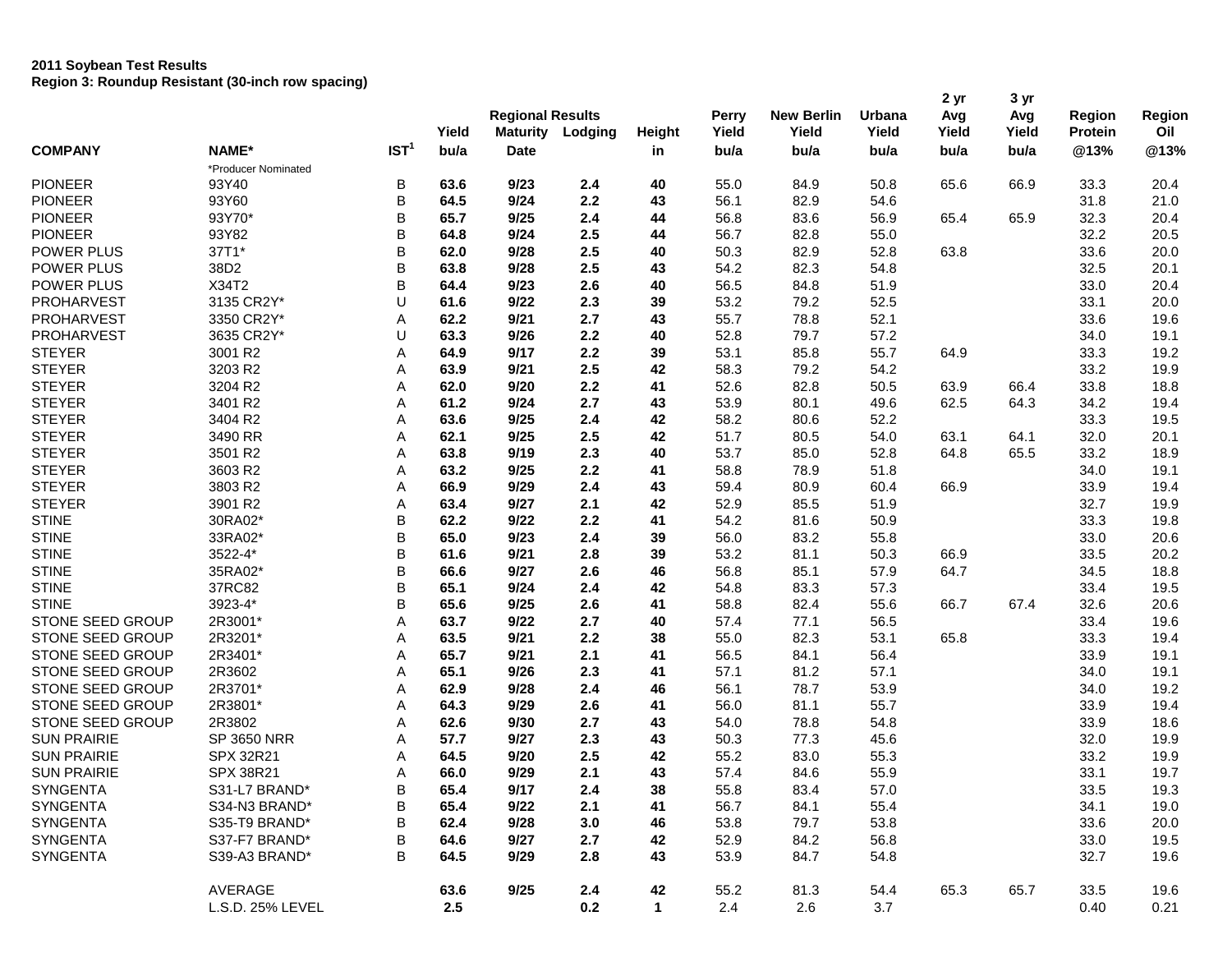# **2011 Soybean Test Results Region 3: Roundup Resistant (30-inch row spacing)**

|                         |                              |                  |              | <b>Regional Results</b> |         |               | <b>Perry</b> | <b>New Berlin</b> | Urbana | 2 yr<br>Avg | 3 yr<br>Avg | <b>Region</b>  | Region       |
|-------------------------|------------------------------|------------------|--------------|-------------------------|---------|---------------|--------------|-------------------|--------|-------------|-------------|----------------|--------------|
|                         |                              |                  | Yield        | <b>Maturity</b>         | Lodging | <b>Height</b> | Yield        | Yield             | Yield  | Yield       | Yield       | <b>Protein</b> | Oil          |
| <b>COMPANY</b>          | NAME*                        | IST <sup>1</sup> | bu/a         | <b>Date</b>             |         | in            | bu/a         | bu/a              | bu/a   | bu/a        | bu/a        | @13%           | @13%         |
| <b>PIONEER</b>          | *Producer Nominated<br>93Y40 | В                |              | 9/23                    | 2.4     |               | 55.0         |                   | 50.8   | 65.6        | 66.9        |                |              |
| <b>PIONEER</b>          | 93Y60                        | B                | 63.6<br>64.5 | 9/24                    | 2.2     | 40<br>43      | 56.1         | 84.9<br>82.9      | 54.6   |             |             | 33.3<br>31.8   | 20.4<br>21.0 |
| <b>PIONEER</b>          | 93Y70*                       | B                | 65.7         | 9/25                    | 2.4     | 44            | 56.8         |                   | 56.9   | 65.4        | 65.9        | 32.3           | 20.4         |
| <b>PIONEER</b>          |                              |                  |              |                         |         |               |              | 83.6              |        |             |             |                |              |
| POWER PLUS              | 93Y82                        | B                | 64.8         | 9/24                    | 2.5     | 44            | 56.7         | 82.8              | 55.0   |             |             | 32.2           | 20.5         |
|                         | 37T1*                        | B                | 62.0         | 9/28                    | 2.5     | 40            | 50.3         | 82.9              | 52.8   | 63.8        |             | 33.6           | 20.0         |
| POWER PLUS              | 38D2<br>X34T2                | B                | 63.8         | 9/28                    | 2.5     | 43            | 54.2         | 82.3              | 54.8   |             |             | 32.5           | 20.1         |
| POWER PLUS              | 3135 CR2Y*                   | B                | 64.4         | 9/23                    | 2.6     | 40            | 56.5         | 84.8              | 51.9   |             |             | 33.0           | 20.4         |
| <b>PROHARVEST</b>       |                              | U                | 61.6         | 9/22                    | 2.3     | 39            | 53.2         | 79.2              | 52.5   |             |             | 33.1           | 20.0         |
| <b>PROHARVEST</b>       | 3350 CR2Y*                   | Α                | 62.2         | 9/21                    | 2.7     | 43            | 55.7         | 78.8              | 52.1   |             |             | 33.6           | 19.6         |
| <b>PROHARVEST</b>       | 3635 CR2Y*                   | U                | 63.3         | 9/26                    | 2.2     | 40            | 52.8         | 79.7              | 57.2   |             |             | 34.0           | 19.1         |
| <b>STEYER</b>           | 3001 R2                      | Α                | 64.9         | 9/17                    | 2.2     | 39            | 53.1         | 85.8              | 55.7   | 64.9        |             | 33.3           | 19.2         |
| <b>STEYER</b>           | 3203 R2                      | Α                | 63.9         | 9/21                    | 2.5     | 42            | 58.3         | 79.2              | 54.2   |             |             | 33.2           | 19.9         |
| <b>STEYER</b>           | 3204 R2                      | A                | 62.0         | 9/20                    | 2.2     | 41            | 52.6         | 82.8              | 50.5   | 63.9        | 66.4        | 33.8           | 18.8         |
| <b>STEYER</b>           | 3401 R2                      | A                | 61.2         | 9/24                    | 2.7     | 43            | 53.9         | 80.1              | 49.6   | 62.5        | 64.3        | 34.2           | 19.4         |
| <b>STEYER</b>           | 3404 R2                      | Α                | 63.6         | 9/25                    | 2.4     | 42            | 58.2         | 80.6              | 52.2   |             |             | 33.3           | 19.5         |
| <b>STEYER</b>           | 3490 RR                      | Α                | 62.1         | 9/25                    | 2.5     | 42            | 51.7         | 80.5              | 54.0   | 63.1        | 64.1        | 32.0           | 20.1         |
| <b>STEYER</b>           | 3501 R2                      | Α                | 63.8         | 9/19                    | 2.3     | 40            | 53.7         | 85.0              | 52.8   | 64.8        | 65.5        | 33.2           | 18.9         |
| <b>STEYER</b>           | 3603 R2                      | Α                | 63.2         | 9/25                    | 2.2     | 41            | 58.8         | 78.9              | 51.8   |             |             | 34.0           | 19.1         |
| <b>STEYER</b>           | 3803 R2                      | A                | 66.9         | 9/29                    | 2.4     | 43            | 59.4         | 80.9              | 60.4   | 66.9        |             | 33.9           | 19.4         |
| <b>STEYER</b>           | 3901 R2                      | Α                | 63.4         | 9/27                    | 2.1     | 42            | 52.9         | 85.5              | 51.9   |             |             | 32.7           | 19.9         |
| <b>STINE</b>            | 30RA02*                      | B                | 62.2         | 9/22                    | 2.2     | 41            | 54.2         | 81.6              | 50.9   |             |             | 33.3           | 19.8         |
| <b>STINE</b>            | 33RA02*                      | B                | 65.0         | 9/23                    | 2.4     | 39            | 56.0         | 83.2              | 55.8   |             |             | 33.0           | 20.6         |
| <b>STINE</b>            | 3522-4*                      | B                | 61.6         | 9/21                    | 2.8     | 39            | 53.2         | 81.1              | 50.3   | 66.9        |             | 33.5           | 20.2         |
| <b>STINE</b>            | 35RA02*                      | B                | 66.6         | 9/27                    | 2.6     | 46            | 56.8         | 85.1              | 57.9   | 64.7        |             | 34.5           | 18.8         |
| <b>STINE</b>            | 37RC82                       | B                | 65.1         | 9/24                    | 2.4     | 42            | 54.8         | 83.3              | 57.3   |             |             | 33.4           | 19.5         |
| <b>STINE</b>            | 3923-4*                      | B                | 65.6         | 9/25                    | 2.6     | 41            | 58.8         | 82.4              | 55.6   | 66.7        | 67.4        | 32.6           | 20.6         |
| STONE SEED GROUP        | 2R3001*                      | A                | 63.7         | 9/22                    | 2.7     | 40            | 57.4         | 77.1              | 56.5   |             |             | 33.4           | 19.6         |
| STONE SEED GROUP        | 2R3201*                      | Α                | 63.5         | 9/21                    | 2.2     | 38            | 55.0         | 82.3              | 53.1   | 65.8        |             | 33.3           | 19.4         |
| STONE SEED GROUP        | 2R3401*                      | A                | 65.7         | 9/21                    | 2.1     | 41            | 56.5         | 84.1              | 56.4   |             |             | 33.9           | 19.1         |
| STONE SEED GROUP        | 2R3602                       | Α                | 65.1         | 9/26                    | 2.3     | 41            | 57.1         | 81.2              | 57.1   |             |             | 34.0           | 19.1         |
| STONE SEED GROUP        | 2R3701*                      | Α                | 62.9         | 9/28                    | 2.4     | 46            | 56.1         | 78.7              | 53.9   |             |             | 34.0           | 19.2         |
| <b>STONE SEED GROUP</b> | 2R3801*                      | Α                | 64.3         | 9/29                    | 2.6     | 41            | 56.0         | 81.1              | 55.7   |             |             | 33.9           | 19.4         |
| <b>STONE SEED GROUP</b> | 2R3802                       | A                | 62.6         | 9/30                    | 2.7     | 43            | 54.0         | 78.8              | 54.8   |             |             | 33.9           | 18.6         |
| <b>SUN PRAIRIE</b>      | <b>SP 3650 NRR</b>           | Α                | 57.7         | 9/27                    | 2.3     | 43            | 50.3         | 77.3              | 45.6   |             |             | 32.0           | 19.9         |
| <b>SUN PRAIRIE</b>      | SPX 32R21                    | Α                | 64.5         | 9/20                    | 2.5     | 42            | 55.2         | 83.0              | 55.3   |             |             | 33.2           | 19.9         |
| <b>SUN PRAIRIE</b>      | SPX 38R21                    | Α                | 66.0         | 9/29                    | 2.1     | 43            | 57.4         | 84.6              | 55.9   |             |             | 33.1           | 19.7         |
| SYNGENTA                | S31-L7 BRAND*                | B                | 65.4         | 9/17                    | 2.4     | 38            | 55.8         | 83.4              | 57.0   |             |             | 33.5           | 19.3         |
| SYNGENTA                | S34-N3 BRAND*                | B                | 65.4         | 9/22                    | 2.1     | 41            | 56.7         | 84.1              | 55.4   |             |             | 34.1           | 19.0         |
| SYNGENTA                | S35-T9 BRAND*                | B                | 62.4         | 9/28                    | 3.0     | 46            | 53.8         | 79.7              | 53.8   |             |             | 33.6           | 20.0         |
| SYNGENTA                | S37-F7 BRAND*                | В                | 64.6         | 9/27                    | 2.7     | 42            | 52.9         | 84.2              | 56.8   |             |             | 33.0           | 19.5         |
| SYNGENTA                | S39-A3 BRAND*                | B                | 64.5         | 9/29                    | 2.8     | 43            | 53.9         | 84.7              | 54.8   |             |             | 32.7           | 19.6         |
|                         | AVERAGE                      |                  | 63.6         | 9/25                    | 2.4     | 42            | 55.2         | 81.3              | 54.4   | 65.3        | 65.7        | 33.5           | 19.6         |
|                         | L.S.D. 25% LEVEL             |                  | 2.5          |                         | 0.2     | $\mathbf{1}$  | 2.4          | 2.6               | 3.7    |             |             | 0.40           | 0.21         |